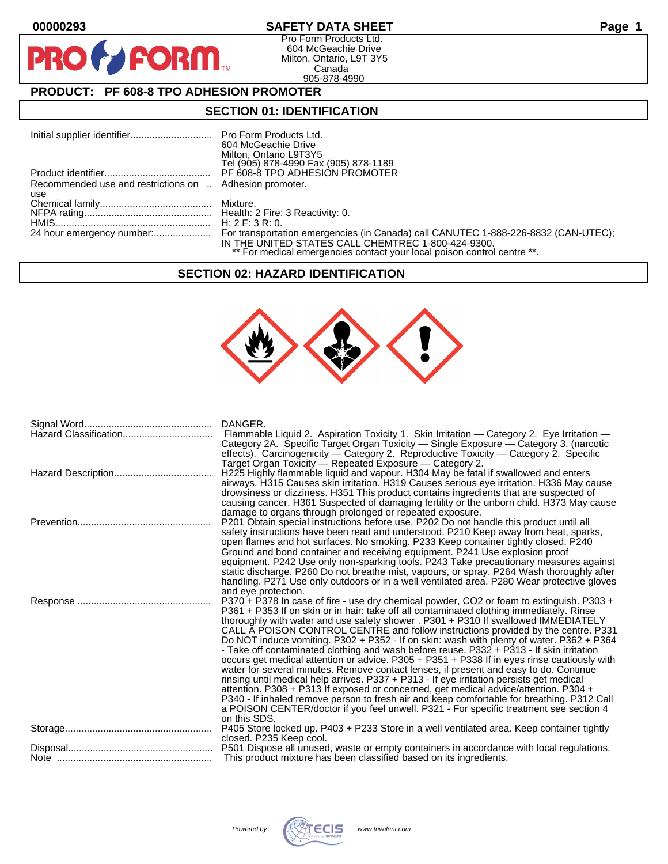$\mathbf O$ 

PR

## **00000293 SAFETY DATA SHEET Page 1**

Pro Form Products Ltd. 604 McGeachie Drive Milton, Ontario, L9T 3Y5 Canada 905-878-4990

# **PRODUCT: PF 608-8 TPO ADHESION PROMOTER**

**FORM** 

### **SECTION 01: IDENTIFICATION**

|                                                         | 604 McGeachie Drive                                                     |
|---------------------------------------------------------|-------------------------------------------------------------------------|
|                                                         | Milton, Ontario L9T3Y5                                                  |
|                                                         | Tel (905) 878-4990 Fax (905) 878-1189                                   |
|                                                         | PF 608-8 TPO ADHESION PROMOTER                                          |
| Recommended use and restrictions on  Adhesion promoter. |                                                                         |
| use                                                     |                                                                         |
|                                                         |                                                                         |
|                                                         |                                                                         |
|                                                         |                                                                         |
|                                                         |                                                                         |
|                                                         | IN THE UNITED STATES CALL CHEMTREC 1-800-424-9300.                      |
|                                                         | ** For medical emergencies contact your local poison control centre **. |

### **SECTION 02: HAZARD IDENTIFICATION**



| DANGER.<br>Flammable Liquid 2. Aspiration Toxicity 1. Skin Irritation — Category 2. Eye Irritation —<br>Category 2A. Specific Target Organ Toxicity — Single Exposure — Category 3. (narcotic<br>effects). Carcinogenicity - Category 2. Reproductive Toxicity - Category 2. Specific                                                                                                                                                                                                                                                                                                                                                                                                                                                                                                                                                                                                                                                                                                                                                                                                                                                       |
|---------------------------------------------------------------------------------------------------------------------------------------------------------------------------------------------------------------------------------------------------------------------------------------------------------------------------------------------------------------------------------------------------------------------------------------------------------------------------------------------------------------------------------------------------------------------------------------------------------------------------------------------------------------------------------------------------------------------------------------------------------------------------------------------------------------------------------------------------------------------------------------------------------------------------------------------------------------------------------------------------------------------------------------------------------------------------------------------------------------------------------------------|
| Target Organ Toxicity - Repeated Exposure - Category 2.<br>H225 Highly flammable liquid and vapour. H304 May be fatal if swallowed and enters<br>airways. H315 Causes skin irritation. H319 Causes serious eye irritation. H336 May cause<br>drowsiness or dizziness. H351 This product contains ingredients that are suspected of<br>causing cancer. H361 Suspected of damaging fertility or the unborn child. H373 May cause                                                                                                                                                                                                                                                                                                                                                                                                                                                                                                                                                                                                                                                                                                              |
| damage to organs through prolonged or repeated exposure.<br>P201 Obtain special instructions before use. P202 Do not handle this product until all<br>safety instructions have been read and understood. P210 Keep away from heat, sparks,<br>open flames and hot surfaces. No smoking. P233 Keep container tightly closed. P240<br>Ground and bond container and receiving equipment. P241 Use explosion proof<br>equipment. P242 Use only non-sparking tools. P243 Take precautionary measures against<br>static discharge. P260 Do not breathe mist, vapours, or spray. P264 Wash thoroughly after<br>handling. P271 Use only outdoors or in a well ventilated area. P280 Wear protective gloves<br>and eye protection.                                                                                                                                                                                                                                                                                                                                                                                                                  |
| P370 + P378 In case of fire - use dry chemical powder, CO2 or foam to extinguish. P303 +<br>P361 + P353 If on skin or in hair: take off all contaminated clothing immediately. Rinse<br>thoroughly with water and use safety shower . P301 + P310 If swallowed IMMEDIATELY<br>CALL A POISON CONTROL CENTRE and follow instructions provided by the centre. P331<br>Do NOT induce vomiting. P302 + P352 - If on skin: wash with plenty of water. P362 + P364<br>- Take off contaminated clothing and wash before reuse. P332 + P313 - If skin irritation<br>occurs get medical attention or advice. P305 + P351 + P338 If in eyes rinse cautiously with<br>water for several minutes. Remove contact lenses, if present and easy to do. Continue<br>rinsing until medical help arrives. P337 + P313 - If eye irritation persists get medical<br>attention. P308 + P313 If exposed or concerned, get medical advice/attention. P304 +<br>P340 - If inhaled remove person to fresh air and keep comfortable for breathing. P312 Call<br>a POISON CENTER/doctor if you feel unwell. P321 - For specific treatment see section 4<br>on this SDS. |
| P405 Store locked up. P403 + P233 Store in a well ventilated area. Keep container tightly<br>closed. P235 Keep cool.                                                                                                                                                                                                                                                                                                                                                                                                                                                                                                                                                                                                                                                                                                                                                                                                                                                                                                                                                                                                                        |
| This product mixture has been classified based on its ingredients.                                                                                                                                                                                                                                                                                                                                                                                                                                                                                                                                                                                                                                                                                                                                                                                                                                                                                                                                                                                                                                                                          |

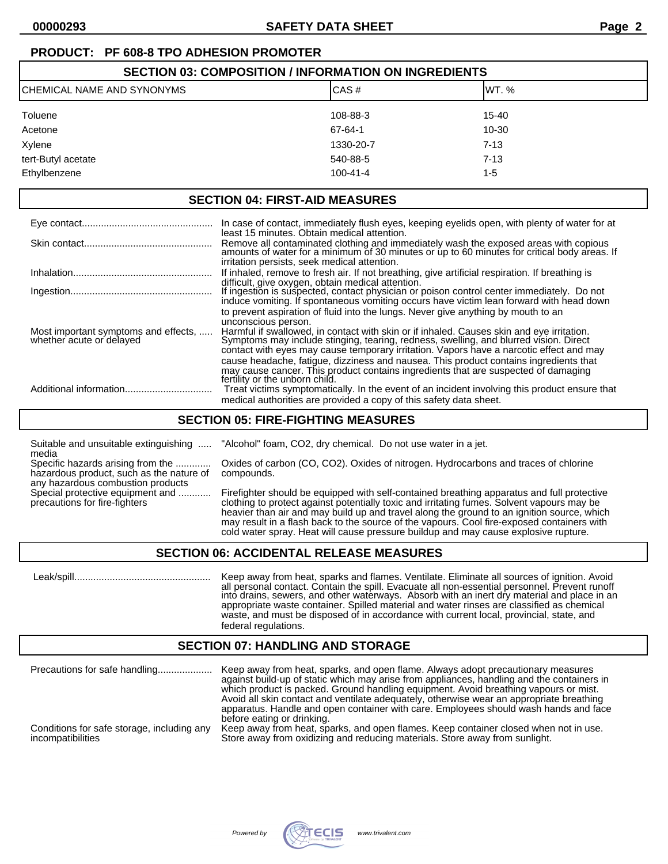# **PRODUCT: PF 608-8 TPO ADHESION PROMOTER**

| <b>SECTION 03: COMPOSITION / INFORMATION ON INGREDIENTS</b> |                |           |  |
|-------------------------------------------------------------|----------------|-----------|--|
| ICHEMICAL NAME AND SYNONYMS<br>ICAS#<br>IWT. %              |                |           |  |
| <b>Toluene</b>                                              | 108-88-3       | $15 - 40$ |  |
| Acetone                                                     | 67-64-1        | 10-30     |  |
| Xylene                                                      | 1330-20-7      | $7 - 13$  |  |
| tert-Butyl acetate                                          | 540-88-5       | $7 - 13$  |  |
| Ethylbenzene                                                | $100 - 41 - 4$ | 1-5       |  |

### **SECTION 04: FIRST-AID MEASURES**

|                                                                  | In case of contact, immediately flush eyes, keeping eyelids open, with plenty of water for at                                                                                                                                                                                                        |
|------------------------------------------------------------------|------------------------------------------------------------------------------------------------------------------------------------------------------------------------------------------------------------------------------------------------------------------------------------------------------|
|                                                                  | least 15 minutes. Obtain medical attention.<br>Remove all contaminated clothing and immediately wash the exposed areas with copious<br>amounts of water for a minimum of 30 minutes or up to 60 minutes for critical body areas. If<br>irritation persists, seek medical attention.                  |
|                                                                  | If inhaled, remove to fresh air. If not breathing, give artificial respiration. If breathing is                                                                                                                                                                                                      |
|                                                                  | difficult, give oxygen, obtain medical attention.<br>If ingestion is suspected, contact physician or poison control center immediately. Do not<br>induce vomiting. If spontaneous vomiting occurs have victim lean forward with head down                                                            |
|                                                                  | to prevent aspiration of fluid into the lungs. Never give anything by mouth to an                                                                                                                                                                                                                    |
| Most important symptoms and effects,<br>whether acute or delayed | unconscious person.<br>Harmful if swallowed, in contact with skin or if inhaled. Causes skin and eye irritation.<br>Symptoms may include stinging, tearing, redness, swelling, and blurred vision. Direct<br>contact with eyes may cause temporary irritation. Vapors have a narcotic effect and may |
|                                                                  | cause headache, fatique, dizziness and nausea. This product contains ingredients that<br>may cause cancer. This product contains ingredients that are suspected of damaging<br>fertility or the unborn child.                                                                                        |
|                                                                  | Treat victims symptomatically. In the event of an incident involving this product ensure that                                                                                                                                                                                                        |
|                                                                  | medical authorities are provided a copy of this safety data sheet.                                                                                                                                                                                                                                   |

### **SECTION 05: FIRE-FIGHTING MEASURES**

Suitable and unsuitable extinguishing ..... "Alcohol" foam, CO2, dry chemical. Do not use water in a jet. media

hazardous product, such as the nature of compounds. any hazardous combustion products<br>Special protective equipment and ............

Specific hazards arising from the ............. Oxides of carbon (CO, CO2). Oxides of nitrogen. Hydrocarbons and traces of chlorine

Firefighter should be equipped with self-contained breathing apparatus and full protective precautions for fire-fighters clothing to protect against potentially toxic and irritating fumes. Solvent vapours may be heavier than air and may build up and travel along the ground to an ignition source, which may result in a flash back to the source of the vapours. Cool fire-exposed containers with cold water spray. Heat will cause pressure buildup and may cause explosive rupture.

### **SECTION 06: ACCIDENTAL RELEASE MEASURES**

 Leak/spill.................................................. Keep away from heat, sparks and flames. Ventilate. Eliminate all sources of ignition. Avoid all personal contact. Contain the spill. Evacuate all non-essential personnel. Prevent runoff into drains, sewers, and other waterways. Absorb with an inert dry material and place in an appropriate waste container. Spilled material and water rinses are classified as chemical waste, and must be disposed of in accordance with current local, provincial, state, and federal regulations.

### **SECTION 07: HANDLING AND STORAGE**

| Precautions for safe handling              | Keep away from heat, sparks, and open flame. Always adopt precautionary measures<br>against build-up of static which may arise from appliances, handling and the containers in<br>which product is packed. Ground handling equipment. Avoid breathing vapours or mist.<br>Avoid all skin contact and ventilate adequately, otherwise wear an appropriate breathing<br>apparatus. Handle and open container with care. Employees should wash hands and face<br>before eating or drinking. |
|--------------------------------------------|------------------------------------------------------------------------------------------------------------------------------------------------------------------------------------------------------------------------------------------------------------------------------------------------------------------------------------------------------------------------------------------------------------------------------------------------------------------------------------------|
| Conditions for safe storage, including any | Keep away from heat, sparks, and open flames. Keep container closed when not in use.                                                                                                                                                                                                                                                                                                                                                                                                     |
| incompatibilities                          | Store away from oxidizing and reducing materials. Store away from sunlight.                                                                                                                                                                                                                                                                                                                                                                                                              |

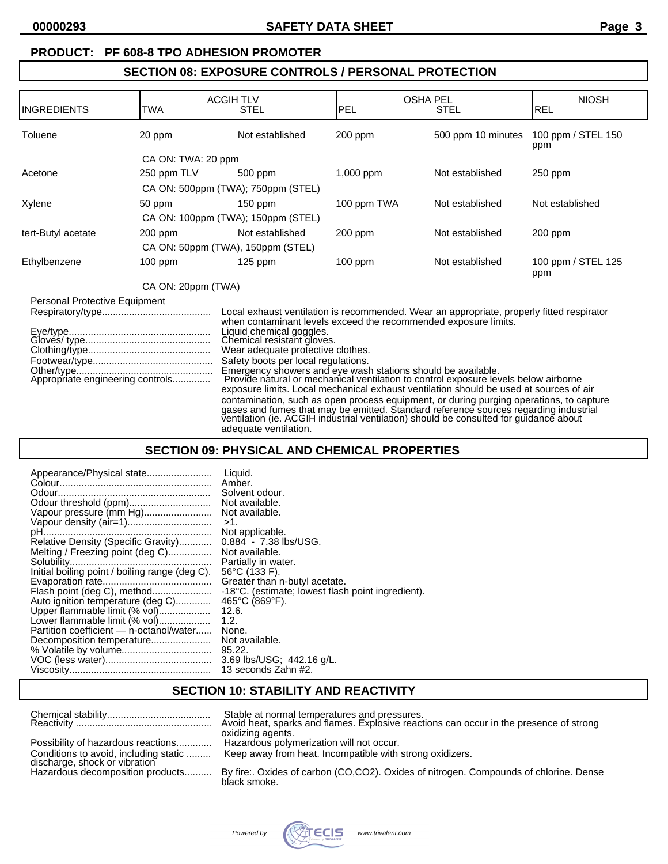### **PRODUCT: PF 608-8 TPO ADHESION PROMOTER**

# **SECTION 08: EXPOSURE CONTROLS / PERSONAL PROTECTION**

| IINGREDIENTS                  | TWA                              | <b>ACGIH TLV</b><br><b>STEL</b>                                                                                                                                                                                                                                       | <b>PEL</b>  | <b>OSHA PEL</b><br><b>STEL</b>                                                                                                                                                                                                                                                                                                                                                                                                                                                                                                                         | <b>NIOSH</b><br><b>REL</b> |
|-------------------------------|----------------------------------|-----------------------------------------------------------------------------------------------------------------------------------------------------------------------------------------------------------------------------------------------------------------------|-------------|--------------------------------------------------------------------------------------------------------------------------------------------------------------------------------------------------------------------------------------------------------------------------------------------------------------------------------------------------------------------------------------------------------------------------------------------------------------------------------------------------------------------------------------------------------|----------------------------|
| Toluene                       | 20 ppm                           | Not established                                                                                                                                                                                                                                                       | $200$ ppm   | 500 ppm 10 minutes                                                                                                                                                                                                                                                                                                                                                                                                                                                                                                                                     | 100 ppm / STEL 150<br>ppm  |
|                               | CA ON: TWA: 20 ppm               |                                                                                                                                                                                                                                                                       |             |                                                                                                                                                                                                                                                                                                                                                                                                                                                                                                                                                        |                            |
| Acetone                       | 250 ppm TLV                      | 500 ppm                                                                                                                                                                                                                                                               | 1,000 ppm   | Not established                                                                                                                                                                                                                                                                                                                                                                                                                                                                                                                                        | $250$ ppm                  |
|                               |                                  | CA ON: 500ppm (TWA); 750ppm (STEL)                                                                                                                                                                                                                                    |             |                                                                                                                                                                                                                                                                                                                                                                                                                                                                                                                                                        |                            |
| Xylene                        | 50 ppm                           | $150$ ppm                                                                                                                                                                                                                                                             | 100 ppm TWA | Not established                                                                                                                                                                                                                                                                                                                                                                                                                                                                                                                                        | Not established            |
|                               |                                  | CA ON: 100ppm (TWA); 150ppm (STEL)                                                                                                                                                                                                                                    |             |                                                                                                                                                                                                                                                                                                                                                                                                                                                                                                                                                        |                            |
| tert-Butyl acetate            | $200$ ppm                        | Not established                                                                                                                                                                                                                                                       | $200$ ppm   | Not established                                                                                                                                                                                                                                                                                                                                                                                                                                                                                                                                        | $200$ ppm                  |
|                               |                                  | CA ON: 50ppm (TWA), 150ppm (STEL)                                                                                                                                                                                                                                     |             |                                                                                                                                                                                                                                                                                                                                                                                                                                                                                                                                                        |                            |
| Ethylbenzene                  | 100 ppm                          | $125$ ppm                                                                                                                                                                                                                                                             | $100$ ppm   | Not established                                                                                                                                                                                                                                                                                                                                                                                                                                                                                                                                        | 100 ppm / STEL 125<br>ppm  |
|                               | CA ON: 20ppm (TWA)               |                                                                                                                                                                                                                                                                       |             |                                                                                                                                                                                                                                                                                                                                                                                                                                                                                                                                                        |                            |
| Personal Protective Equipment | Appropriate engineering controls | when contaminant levels exceed the recommended exposure limits.<br>Liquid chemical goggles.<br>Chemical resistant gloves.<br>Wear adequate protective clothes.<br>Safety boots per local regulations.<br>Emergency showers and eye wash stations should be available. |             | Local exhaust ventilation is recommended. Wear an appropriate, properly fitted respirator<br>Provide natural or mechanical ventilation to control exposure levels below airborne<br>exposure limits. Local mechanical exhaust ventilation should be used at sources of air<br>contamination, such as open process equipment, or during purging operations, to capture<br>gases and fumes that may be emitted. Standard reference sources regarding industrial<br>ventilation (ie. ACGIH industrial ventilation) should be consulted for guidance about |                            |

### **SECTION 09: PHYSICAL AND CHEMICAL PROPERTIES**

adequate ventilation.

| Appearance/Physical state                      | Liquid.                                           |
|------------------------------------------------|---------------------------------------------------|
|                                                | Amber.                                            |
|                                                | Solvent odour.                                    |
| Odour threshold (ppm)                          | Not available.                                    |
| Vapour pressure (mm Hg)                        | Not available.                                    |
|                                                | $>1$ .                                            |
|                                                | Not applicable.                                   |
| Relative Density (Specific Gravity)            | $0.884 - 7.38$ lbs/USG.                           |
| Melting / Freezing point (deg C)               | Not available.                                    |
|                                                | Partially in water.                               |
| Initial boiling point / boiling range (deg C). | $56^{\circ}$ C (133 F).                           |
|                                                | Greater than n-butyl acetate.                     |
| Flash point (deg C), method                    | -18°C. (estimate; lowest flash point ingredient). |
| Auto ignition temperature (deg C)              | $465^{\circ}$ C (869 $^{\circ}$ F).               |
| Upper flammable limit (% vol)                  | 12.6.                                             |
| Lower flammable limit (% vol)                  | 1.2.                                              |
| Partition coefficient — n-octanol/water        | None.                                             |
| Decomposition temperature                      | Not available.                                    |
|                                                | 95.22.                                            |
|                                                | 3.69 lbs/USG; 442.16 g/L.                         |
|                                                | 13 seconds Zahn #2.                               |

# **SECTION 10: STABILITY AND REACTIVITY**

|                                                                   | Stable at normal temperatures and pressures.<br>Avoid heat, sparks and flames. Explosive reactions can occur in the presence of strong |
|-------------------------------------------------------------------|----------------------------------------------------------------------------------------------------------------------------------------|
|                                                                   | oxidizing agents.                                                                                                                      |
| Possibility of hazardous reactions                                | Hazardous polymerization will not occur.                                                                                               |
| Conditions to avoid, including static                             | Keep away from heat. Incompatible with strong oxidizers.                                                                               |
| discharge, shock or vibration<br>Hazardous decomposition products | By fire: Oxides of carbon (CO,CO2). Oxides of nitrogen. Compounds of chlorine. Dense                                                   |
|                                                                   | black smoke.                                                                                                                           |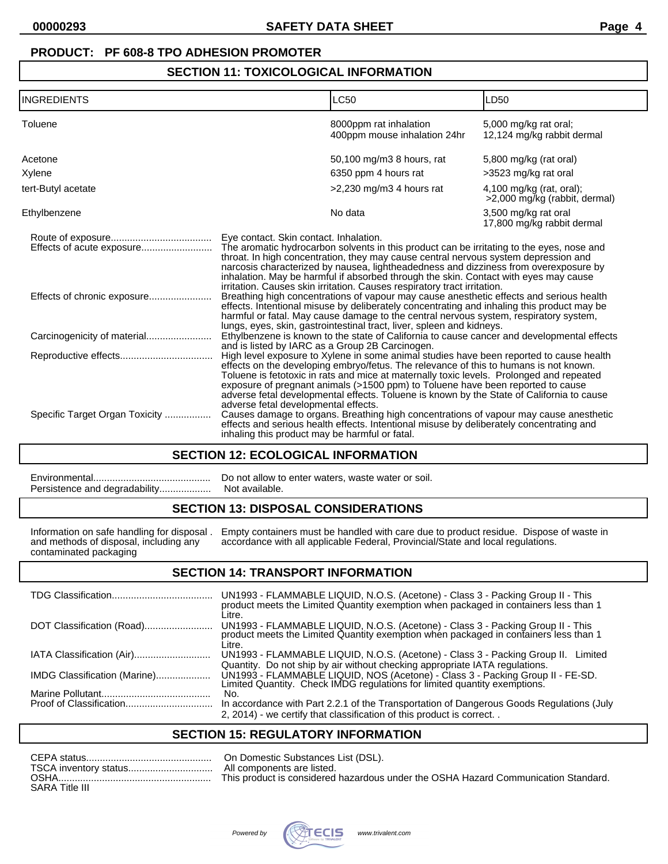### **PRODUCT: PF 608-8 TPO ADHESION PROMOTER**

### **SECTION 11: TOXICOLOGICAL INFORMATION**

| <b>INGREDIENTS</b>             | LC50                                                                                                                                                                                                                                                                                                                                                                                                                                                                                                            | LD50                                                      |  |
|--------------------------------|-----------------------------------------------------------------------------------------------------------------------------------------------------------------------------------------------------------------------------------------------------------------------------------------------------------------------------------------------------------------------------------------------------------------------------------------------------------------------------------------------------------------|-----------------------------------------------------------|--|
| Toluene                        | 8000ppm rat inhalation<br>400ppm mouse inhalation 24hr                                                                                                                                                                                                                                                                                                                                                                                                                                                          | 5,000 mg/kg rat oral;<br>12,124 mg/kg rabbit dermal       |  |
| Acetone                        | 50,100 mg/m3 8 hours, rat                                                                                                                                                                                                                                                                                                                                                                                                                                                                                       | 5,800 mg/kg (rat oral)                                    |  |
| Xylene                         | 6350 ppm 4 hours rat                                                                                                                                                                                                                                                                                                                                                                                                                                                                                            | >3523 mg/kg rat oral                                      |  |
| tert-Butyl acetate             | $>2,230$ mg/m3 4 hours rat                                                                                                                                                                                                                                                                                                                                                                                                                                                                                      | 4,100 mg/kg (rat, oral);<br>>2,000 mg/kg (rabbit, dermal) |  |
| Ethylbenzene                   | No data                                                                                                                                                                                                                                                                                                                                                                                                                                                                                                         | 3,500 mg/kg rat oral<br>17,800 mg/kg rabbit dermal        |  |
|                                | Eye contact. Skin contact. Inhalation.<br>The aromatic hydrocarbon solvents in this product can be irritating to the eyes, nose and<br>throat. In high concentration, they may cause central nervous system depression and<br>narcosis characterized by nausea, lightheadedness and dizziness from overexposure by<br>inhalation. May be harmful if absorbed through the skin. Contact with eyes may cause                                                                                                      |                                                           |  |
| Effects of chronic exposure    | irritation. Causes skin irritation. Causes respiratory tract irritation.<br>Breathing high concentrations of vapour may cause anesthetic effects and serious health<br>effects. Intentional misuse by deliberately concentrating and inhaling this product may be<br>harmful or fatal. May cause damage to the central nervous system, respiratory system,<br>lungs, eyes, skin, gastrointestinal tract, liver, spleen and kidneys.                                                                             |                                                           |  |
|                                | Ethylbenzene is known to the state of California to cause cancer and developmental effects                                                                                                                                                                                                                                                                                                                                                                                                                      |                                                           |  |
|                                | and is listed by IARC as a Group 2B Carcinogen.<br>High level exposure to Xylene in some animal studies have been reported to cause health<br>effects on the developing embryo/fetus. The relevance of this to humans is not known.<br>Toluene is fetotoxic in rats and mice at maternally toxic levels. Prolonged and repeated<br>exposure of pregnant animals (>1500 ppm) to Toluene have been reported to cause<br>adverse fetal developmental effects. Toluene is known by the State of California to cause |                                                           |  |
| Specific Target Organ Toxicity | adverse fetal developmental effects.<br>Causes damage to organs. Breathing high concentrations of vapour may cause anesthetic<br>effects and serious health effects. Intentional misuse by deliberately concentrating and<br>inhaling this product may be harmful or fatal.                                                                                                                                                                                                                                     |                                                           |  |

### **SECTION 12: ECOLOGICAL INFORMATION**

## **SECTION 13: DISPOSAL CONSIDERATIONS**

|                                        | Information on safe handling for disposal. Empty containers must be handled with care due to product residue. Dispose of waste in |
|----------------------------------------|-----------------------------------------------------------------------------------------------------------------------------------|
| and methods of disposal, including any | accordance with all applicable Federal, Provincial/State and local regulations.                                                   |
| contaminated packaging                 |                                                                                                                                   |

## **SECTION 14: TRANSPORT INFORMATION**

|                              | UN1993 - FLAMMABLE LIQUID, N.O.S. (Acetone) - Class 3 - Packing Group II - This<br>product meets the Limited Quantity exemption when packaged in containers less than 1<br>Litre.                                                          |
|------------------------------|--------------------------------------------------------------------------------------------------------------------------------------------------------------------------------------------------------------------------------------------|
| DOT Classification (Road)    | UN1993 - FLAMMABLE LIQUID, N.O.S. (Acetone) - Class 3 - Packing Group II - This product meets the Limited Quantity exemption when packaged in containers less than 1<br>Litre.                                                             |
|                              | UN1993 - FLAMMABLE LIQUID, N.O.S. (Acetone) - Class 3 - Packing Group II.<br>Limited                                                                                                                                                       |
| IMDG Classification (Marine) | Quantity. Do not ship by air without checking appropriate IATA regulations.<br>UN1993 - FLAMMABLE LIQUID, NOS (Acetone) - Class 3 - Packing Group II - FE-SD.<br>Limited Quantity. Check IMDG regulations for limited quantity exemptions. |
|                              | No.                                                                                                                                                                                                                                        |
|                              | In accordance with Part 2.2.1 of the Transportation of Dangerous Goods Regulations (July                                                                                                                                                   |
|                              | 2, 2014) - we certify that classification of this product is correct                                                                                                                                                                       |

## **SECTION 15: REGULATORY INFORMATION**

| <b>OSHA</b>           | This product is considered hazardous under the OSHA Hazard Communication Standard. |
|-----------------------|------------------------------------------------------------------------------------|
| <b>SARA Title III</b> |                                                                                    |